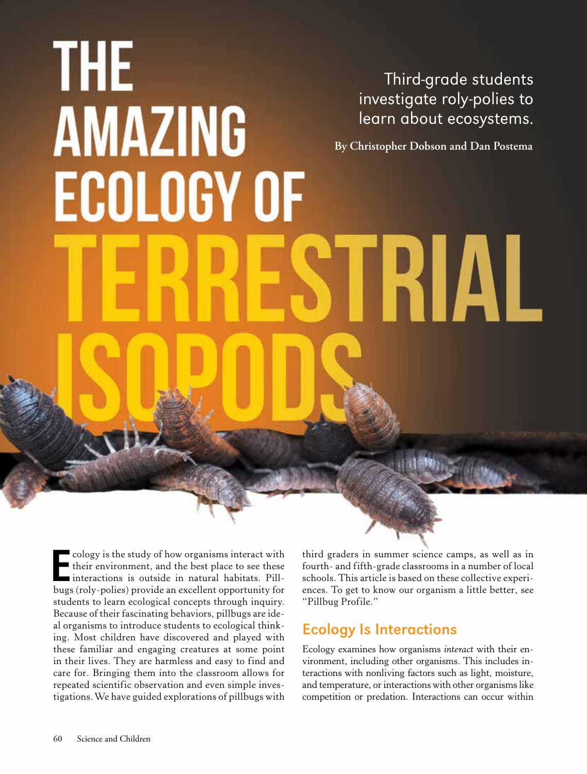# THE Third-grade students investigate roly-polies to **AMAZING** learn about ecosystems. **By Christopher Dobson and Dan Postema ECOLOGY OF TRIAL**

**E** cology is the study of how organisms interact with<br>their environment, and the best place to see these<br>interactions is outside in natural habitats. Pill-<br>bugs (roly-polies) provide an excellent opportunity for cology is the study of how organisms interact with their environment, and the best place to see these interactions is outside in natural habitats. Pillstudents to learn ecological concepts through inquiry. Because of their fascinating behaviors, pillbugs are ideal organisms to introduce students to ecological thinking. Most children have discovered and played with these familiar and engaging creatures at some point in their lives. They are harmless and easy to find and care for. Bringing them into the classroom allows for repeated scientific observation and even simple investigations. We have guided explorations of pillbugs with

third graders in summer science camps, as well as in fourth- and fifth-grade classrooms in a number of local schools. This article is based on these collective experiences. To get to know our organism a little better, see "Pillbug Profile."

# Ecology Is Interactions

Ecology examines how organisms *interact* with their environment, including other organisms. This includes interactions with nonliving factors such as light, moisture, and temperature, or interactions with other organisms like competition or predation. Interactions can occur within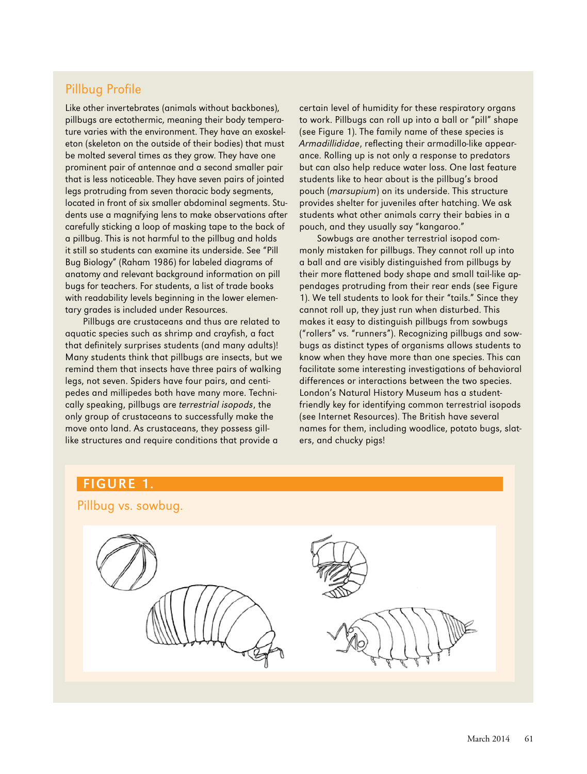#### Pillbug Profile

Like other invertebrates (animals without backbones), pillbugs are ectothermic, meaning their body temperature varies with the environment. They have an exoskeleton (skeleton on the outside of their bodies) that must be molted several times as they grow. They have one prominent pair of antennae and a second smaller pair that is less noticeable. They have seven pairs of jointed legs protruding from seven thoracic body segments, located in front of six smaller abdominal segments. Students use a magnifying lens to make observations after carefully sticking a loop of masking tape to the back of a pillbug. This is not harmful to the pillbug and holds it still so students can examine its underside. See "Pill Bug Biology" (Raham 1986) for labeled diagrams of anatomy and relevant background information on pill bugs for teachers. For students, a list of trade books with readability levels beginning in the lower elementary grades is included under Resources.

Pillbugs are crustaceans and thus are related to aquatic species such as shrimp and crayfish, a fact that definitely surprises students (and many adults)! Many students think that pillbugs are insects, but we remind them that insects have three pairs of walking legs, not seven. Spiders have four pairs, and centipedes and millipedes both have many more. Technically speaking, pillbugs are terrestrial isopods, the only group of crustaceans to successfully make the move onto land. As crustaceans, they possess gilllike structures and require conditions that provide a

certain level of humidity for these respiratory organs to work. Pillbugs can roll up into a ball or "pill" shape (see Figure 1). The family name of these species is Armadillididae, reflecting their armadillo-like appearance. Rolling up is not only a response to predators but can also help reduce water loss. One last feature students like to hear about is the pillbug's brood pouch (marsupium) on its underside. This structure provides shelter for juveniles after hatching. We ask students what other animals carry their babies in a pouch, and they usually say "kangaroo."

Sowbugs are another terrestrial isopod commonly mistaken for pillbugs. They cannot roll up into a ball and are visibly distinguished from pillbugs by their more flattened body shape and small tail-like appendages protruding from their rear ends (see Figure 1). We tell students to look for their "tails." Since they cannot roll up, they just run when disturbed. This makes it easy to distinguish pillbugs from sowbugs ("rollers" vs. "runners"). Recognizing pillbugs and sowbugs as distinct types of organisms allows students to know when they have more than one species. This can facilitate some interesting investigations of behavioral differences or interactions between the two species. London's Natural History Museum has a studentfriendly key for identifying common terrestrial isopods (see Internet Resources). The British have several names for them, including woodlice, potato bugs, slaters, and chucky pigs!

# Pillbug vs. sowbug.

# FIGURE 1.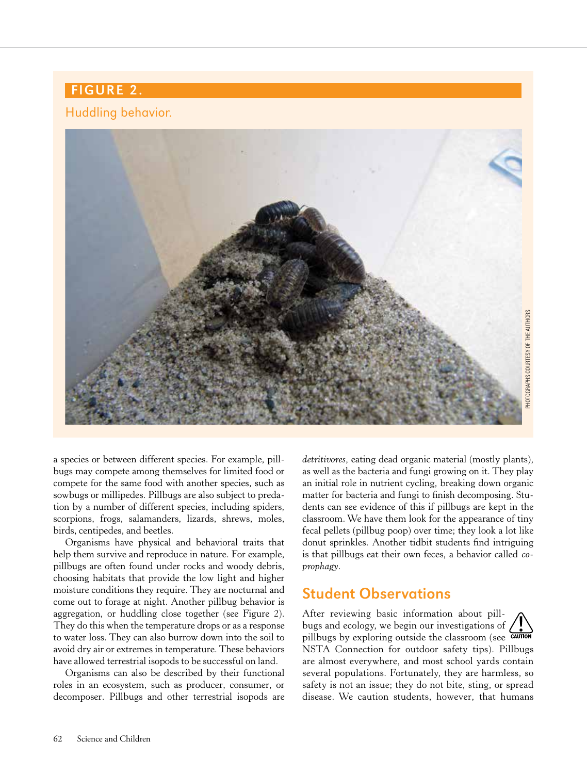# FIGURE 2.

#### Huddling behavior.



a species or between different species. For example, pillbugs may compete among themselves for limited food or compete for the same food with another species, such as sowbugs or millipedes. Pillbugs are also subject to predation by a number of different species, including spiders, scorpions, frogs, salamanders, lizards, shrews, moles, birds, centipedes, and beetles.

Organisms have physical and behavioral traits that help them survive and reproduce in nature. For example, pillbugs are often found under rocks and woody debris, choosing habitats that provide the low light and higher moisture conditions they require. They are nocturnal and come out to forage at night. Another pillbug behavior is aggregation, or huddling close together (see Figure 2). They do this when the temperature drops or as a response to water loss. They can also burrow down into the soil to avoid dry air or extremes in temperature. These behaviors have allowed terrestrial isopods to be successful on land.

Organisms can also be described by their functional roles in an ecosystem, such as producer, consumer, or decomposer. Pillbugs and other terrestrial isopods are

*detritivores*, eating dead organic material (mostly plants), as well as the bacteria and fungi growing on it. They play an initial role in nutrient cycling, breaking down organic matter for bacteria and fungi to finish decomposing. Students can see evidence of this if pillbugs are kept in the classroom. We have them look for the appearance of tiny fecal pellets (pillbug poop) over time; they look a lot like donut sprinkles. Another tidbit students find intriguing is that pillbugs eat their own feces, a behavior called *coprophagy*.

## Student Observations

After reviewing basic information about pillbugs and ecology, we begin our investigations of pillbugs by exploring outside the classroom (see CAUTION NSTA Connection for outdoor safety tips). Pillbugs are almost everywhere, and most school yards contain several populations. Fortunately, they are harmless, so safety is not an issue; they do not bite, sting, or spread disease. We caution students, however, that humans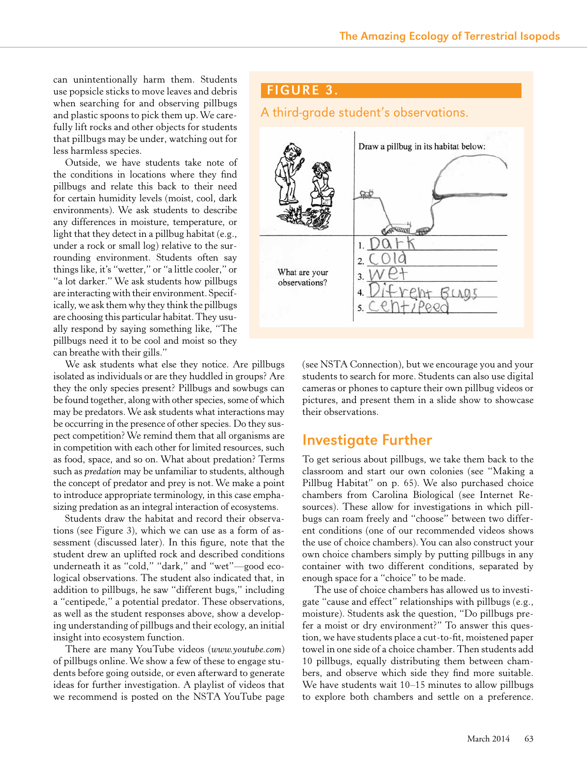can unintentionally harm them. Students use popsicle sticks to move leaves and debris when searching for and observing pillbugs and plastic spoons to pick them up. We carefully lift rocks and other objects for students that pillbugs may be under, watching out for less harmless species.

Outside, we have students take note of the conditions in locations where they find pillbugs and relate this back to their need for certain humidity levels (moist, cool, dark environments). We ask students to describe any differences in moisture, temperature, or light that they detect in a pillbug habitat (e.g., under a rock or small log) relative to the surrounding environment. Students often say things like, it's "wetter," or "a little cooler," or "a lot darker." We ask students how pillbugs are interacting with their environment. Specifically, we ask them why they think the pillbugs are choosing this particular habitat. They usually respond by saying something like, "The pillbugs need it to be cool and moist so they can breathe with their gills."

We ask students what else they notice. Are pillbugs isolated as individuals or are they huddled in groups? Are they the only species present? Pillbugs and sowbugs can be found together, along with other species, some of which may be predators. We ask students what interactions may be occurring in the presence of other species. Do they suspect competition? We remind them that all organisms are in competition with each other for limited resources, such as food, space, and so on. What about predation? Terms such as *predation* may be unfamiliar to students, although the concept of predator and prey is not. We make a point to introduce appropriate terminology, in this case emphasizing predation as an integral interaction of ecosystems.

Students draw the habitat and record their observations (see Figure 3), which we can use as a form of assessment (discussed later). In this figure, note that the student drew an uplifted rock and described conditions underneath it as "cold," "dark," and "wet"—good ecological observations. The student also indicated that, in addition to pillbugs, he saw "different bugs," including a "centipede," a potential predator. These observations, as well as the student responses above, show a developing understanding of pillbugs and their ecology, an initial insight into ecosystem function.

There are many YouTube videos (*www.youtube.com*) of pillbugs online. We show a few of these to engage students before going outside, or even afterward to generate ideas for further investigation. A playlist of videos that we recommend is posted on the NSTA YouTube page



(see NSTA Connection), but we encourage you and your students to search for more. Students can also use digital cameras or phones to capture their own pillbug videos or pictures, and present them in a slide show to showcase their observations.

#### Investigate Further

To get serious about pillbugs, we take them back to the classroom and start our own colonies (see "Making a Pillbug Habitat" on p. 65). We also purchased choice chambers from Carolina Biological (see Internet Resources). These allow for investigations in which pillbugs can roam freely and "choose" between two different conditions (one of our recommended videos shows the use of choice chambers). You can also construct your own choice chambers simply by putting pillbugs in any container with two different conditions, separated by enough space for a "choice" to be made.

The use of choice chambers has allowed us to investigate "cause and effect" relationships with pillbugs (e.g., moisture). Students ask the question, "Do pillbugs prefer a moist or dry environment?" To answer this question, we have students place a cut-to-fit, moistened paper towel in one side of a choice chamber. Then students add 10 pillbugs, equally distributing them between chambers, and observe which side they find more suitable. We have students wait 10–15 minutes to allow pillbugs to explore both chambers and settle on a preference.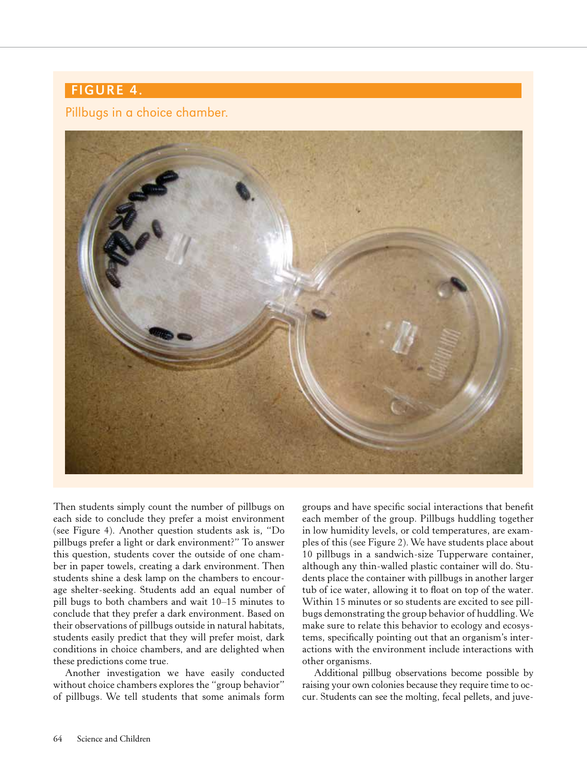# FIGURE 4.

#### Pillbugs in a choice chamber.



Then students simply count the number of pillbugs on each side to conclude they prefer a moist environment (see Figure 4). Another question students ask is, "Do pillbugs prefer a light or dark environment?" To answer this question, students cover the outside of one chamber in paper towels, creating a dark environment. Then students shine a desk lamp on the chambers to encourage shelter-seeking. Students add an equal number of pill bugs to both chambers and wait 10–15 minutes to conclude that they prefer a dark environment. Based on their observations of pillbugs outside in natural habitats, students easily predict that they will prefer moist, dark conditions in choice chambers, and are delighted when these predictions come true.

Another investigation we have easily conducted without choice chambers explores the "group behavior" of pillbugs. We tell students that some animals form

groups and have specific social interactions that benefit each member of the group. Pillbugs huddling together in low humidity levels, or cold temperatures, are examples of this (see Figure 2). We have students place about 10 pillbugs in a sandwich-size Tupperware container, although any thin-walled plastic container will do. Students place the container with pillbugs in another larger tub of ice water, allowing it to float on top of the water. Within 15 minutes or so students are excited to see pillbugs demonstrating the group behavior of huddling. We make sure to relate this behavior to ecology and ecosystems, specifically pointing out that an organism's interactions with the environment include interactions with other organisms.

Additional pillbug observations become possible by raising your own colonies because they require time to occur. Students can see the molting, fecal pellets, and juve-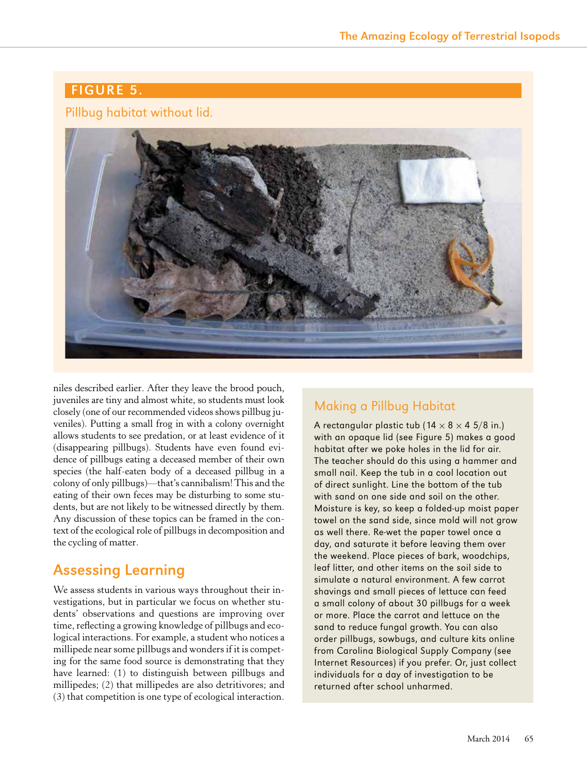### FIGURE 5.

#### Pillbug habitat without lid.



niles described earlier. After they leave the brood pouch, juveniles are tiny and almost white, so students must look closely (one of our recommended videos shows pillbug juveniles). Putting a small frog in with a colony overnight allows students to see predation, or at least evidence of it (disappearing pillbugs). Students have even found evidence of pillbugs eating a deceased member of their own species (the half-eaten body of a deceased pillbug in a colony of only pillbugs)—that's cannibalism! This and the eating of their own feces may be disturbing to some students, but are not likely to be witnessed directly by them. Any discussion of these topics can be framed in the context of the ecological role of pillbugs in decomposition and the cycling of matter.

# Assessing Learning

We assess students in various ways throughout their investigations, but in particular we focus on whether students' observations and questions are improving over time, reflecting a growing knowledge of pillbugs and ecological interactions. For example, a student who notices a millipede near some pillbugs and wonders if it is competing for the same food source is demonstrating that they have learned: (1) to distinguish between pillbugs and millipedes; (2) that millipedes are also detritivores; and (3) that competition is one type of ecological interaction.

#### Making a Pillbug Habitat

A rectangular plastic tub ( $14 \times 8 \times 4$  5/8 in.) with an opaque lid (see Figure 5) makes a good habitat after we poke holes in the lid for air. The teacher should do this using a hammer and small nail. Keep the tub in a cool location out of direct sunlight. Line the bottom of the tub with sand on one side and soil on the other. Moisture is key, so keep a folded-up moist paper towel on the sand side, since mold will not grow as well there. Re-wet the paper towel once a day, and saturate it before leaving them over the weekend. Place pieces of bark, woodchips, leaf litter, and other items on the soil side to simulate a natural environment. A few carrot shavings and small pieces of lettuce can feed a small colony of about 30 pillbugs for a week or more. Place the carrot and lettuce on the sand to reduce fungal growth. You can also order pillbugs, sowbugs, and culture kits online from Carolina Biological Supply Company (see Internet Resources) if you prefer. Or, just collect individuals for a day of investigation to be returned after school unharmed.